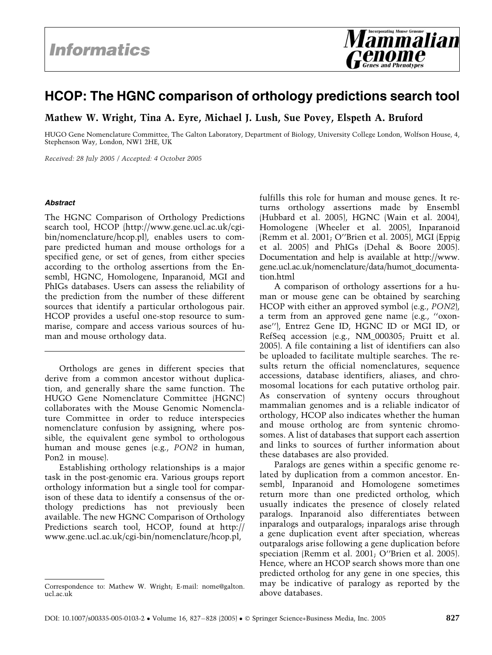# HCOP: The HGNC comparison of orthology predictions search tool

Mathew W. Wright, Tina A. Eyre, Michael J. Lush, Sue Povey, Elspeth A. Bruford

HUGO Gene Nomenclature Committee, The Galton Laboratory, Department of Biology, University College London, Wolfson House, 4, Stephenson Way, London, NW1 2HE, UK

Received: 28 July 2005 / Accepted: 4 October 2005

#### Abstract

The HGNC Comparison of Orthology Predictions search tool, HCOP (http://www.gene.ucl.ac.uk/cgibin/nomenclature/hcop.pl), enables users to compare predicted human and mouse orthologs for a specified gene, or set of genes, from either species according to the ortholog assertions from the Ensembl, HGNC, Homologene, Inparanoid, MGI and PhIGs databases. Users can assess the reliability of the prediction from the number of these different sources that identify a particular orthologous pair. HCOP provides a useful one-stop resource to summarise, compare and access various sources of human and mouse orthology data.

Orthologs are genes in different species that derive from a common ancestor without duplication, and generally share the same function. The HUGO Gene Nomenclature Committee (HGNC) collaborates with the Mouse Genomic Nomenclature Committee in order to reduce interspecies nomenclature confusion by assigning, where possible, the equivalent gene symbol to orthologous human and mouse genes (e.g., PON2 in human, Pon2 in mouse).

Establishing orthology relationships is a major task in the post-genomic era. Various groups report orthology information but a single tool for comparison of these data to identify a consensus of the orthology predictions has not previously been available. The new HGNC Comparison of Orthology Predictions search tool, HCOP, found at http:// www.gene.ucl.ac.uk/cgi-bin/nomenclature/hcop.pl,

fulfills this role for human and mouse genes. It returns orthology assertions made by Ensembl (Hubbard et al. 2005), HGNC (Wain et al. 2004), Homologene (Wheeler et al. 2005), Inparanoid (Remm et al. 2001; O''Brien et al. 2005), MGI (Eppig et al. 2005) and PhIGs (Dehal & Boore 2005). Documentation and help is available at http://www. gene.ucl.ac.uk/nomenclature/data/humot\_documentation.html

**Incorporating Mouse Geno** 

A comparison of orthology assertions for a human or mouse gene can be obtained by searching HCOP with either an approved symbol (e.g., PON2), a term from an approved gene name (e.g., ''oxonase''), Entrez Gene ID, HGNC ID or MGI ID, or RefSeq accession (e.g., NM\_000305; Pruitt et al. 2005). A file containing a list of identifiers can also be uploaded to facilitate multiple searches. The results return the official nomenclatures, sequence accessions, database identifiers, aliases, and chromosomal locations for each putative ortholog pair. As conservation of synteny occurs throughout mammalian genomes and is a reliable indicator of orthology, HCOP also indicates whether the human and mouse ortholog are from syntenic chromosomes. A list of databases that support each assertion and links to sources of further information about these databases are also provided.

Paralogs are genes within a specific genome related by duplication from a common ancestor. Ensembl, Inparanoid and Homologene sometimes return more than one predicted ortholog, which usually indicates the presence of closely related paralogs. Inparanoid also differentiates between inparalogs and outparalogs; inparalogs arise through a gene duplication event after speciation, whereas outparalogs arise following a gene duplication before speciation (Remm et al. 2001; O''Brien et al. 2005). Hence, where an HCOP search shows more than one predicted ortholog for any gene in one species, this may be indicative of paralogy as reported by the

Correspondence to: Mathew W. Wright; E-mail: nome@galton. may be indicate above databases. ucl.ac.uk